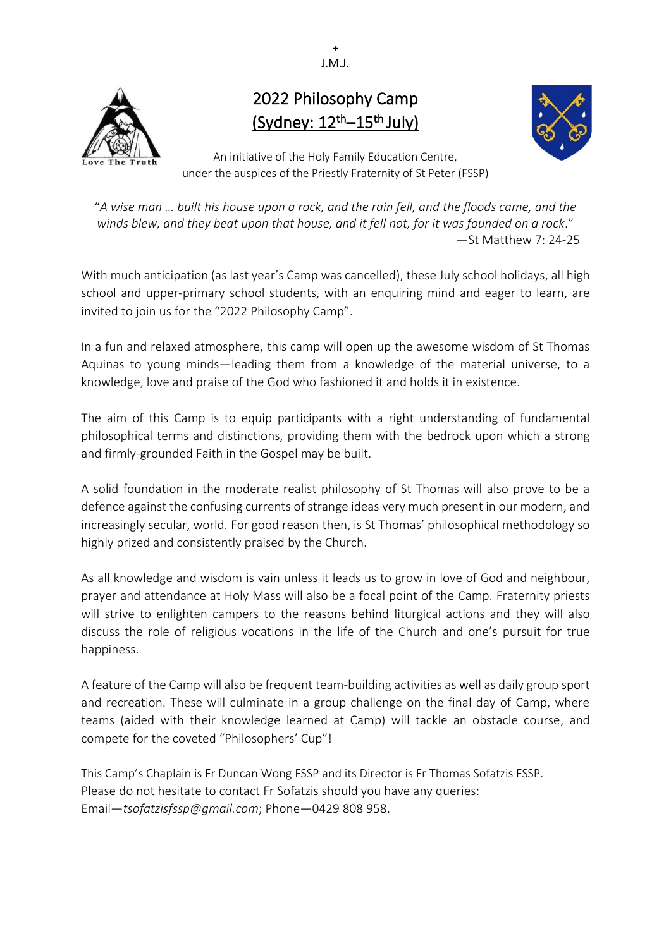+ J.M.J.



# 2022 Philosophy Camp (Sydney:  $12<sup>th</sup>-15<sup>th</sup>$  July)



An initiative of the Holy Family Education Centre, under the auspices of the Priestly Fraternity of St Peter (FSSP)

"*A wise man … built his house upon a rock, and the rain fell, and the floods came, and the winds blew, and they beat upon that house, and it fell not, for it was founded on a rock*." —St Matthew 7: 24-25

With much anticipation (as last year's Camp was cancelled), these July school holidays, all high school and upper-primary school students, with an enquiring mind and eager to learn, are invited to join us for the "2022 Philosophy Camp".

In a fun and relaxed atmosphere, this camp will open up the awesome wisdom of St Thomas Aquinas to young minds—leading them from a knowledge of the material universe, to a knowledge, love and praise of the God who fashioned it and holds it in existence.

The aim of this Camp is to equip participants with a right understanding of fundamental philosophical terms and distinctions, providing them with the bedrock upon which a strong and firmly-grounded Faith in the Gospel may be built.

A solid foundation in the moderate realist philosophy of St Thomas will also prove to be a defence against the confusing currents of strange ideas very much present in our modern, and increasingly secular, world. For good reason then, is St Thomas' philosophical methodology so highly prized and consistently praised by the Church.

As all knowledge and wisdom is vain unless it leads us to grow in love of God and neighbour, prayer and attendance at Holy Mass will also be a focal point of the Camp. Fraternity priests will strive to enlighten campers to the reasons behind liturgical actions and they will also discuss the role of religious vocations in the life of the Church and one's pursuit for true happiness.

A feature of the Camp will also be frequent team-building activities as well as daily group sport and recreation. These will culminate in a group challenge on the final day of Camp, where teams (aided with their knowledge learned at Camp) will tackle an obstacle course, and compete for the coveted "Philosophers' Cup"!

This Camp's Chaplain is Fr Duncan Wong FSSP and its Director is Fr Thomas Sofatzis FSSP. Please do not hesitate to contact Fr Sofatzis should you have any queries: Email—*tsofatzisfssp@gmail.com*; Phone—0429 808 958.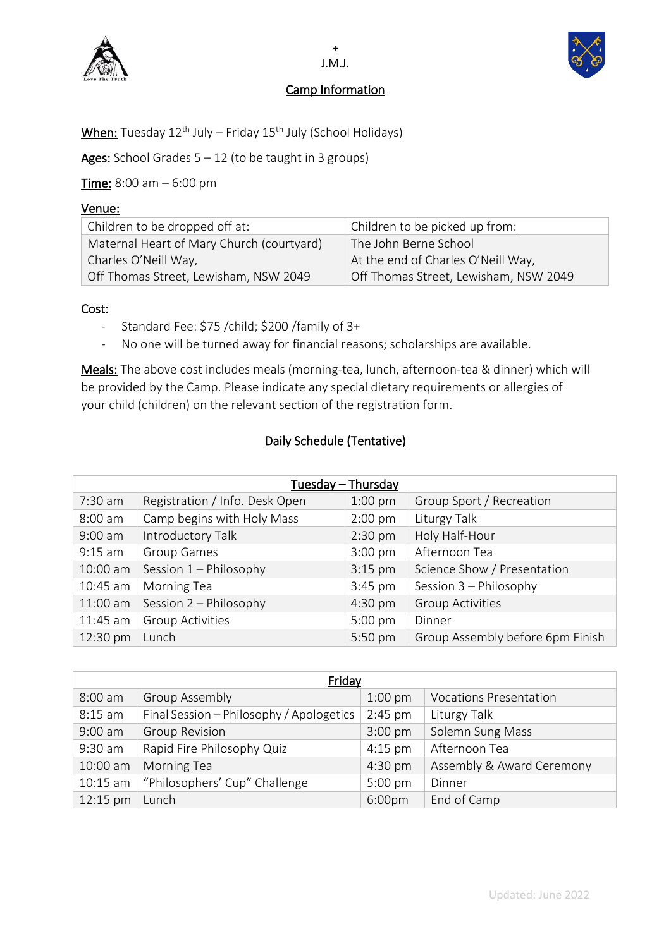

## Camp Information



When: Tuesday 12<sup>th</sup> July – Friday 15<sup>th</sup> July (School Holidays)

Ages: School Grades  $5 - 12$  (to be taught in 3 groups)

Time: 8:00 am – 6:00 pm

## Venue:

| Children to be dropped off at:            | Children to be picked up from:        |
|-------------------------------------------|---------------------------------------|
| Maternal Heart of Mary Church (courtyard) | The John Berne School                 |
| Charles O'Neill Way,                      | At the end of Charles O'Neill Way,    |
| Off Thomas Street, Lewisham, NSW 2049     | Off Thomas Street, Lewisham, NSW 2049 |

## Cost:

- Standard Fee: \$75 /child; \$200 /family of 3+
- No one will be turned away for financial reasons; scholarships are available.

Meals: The above cost includes meals (morning-tea, lunch, afternoon-tea & dinner) which will be provided by the Camp. Please indicate any special dietary requirements or allergies of your child (children) on the relevant section of the registration form.

## Daily Schedule (Tentative)

| Tuesday - Thursday |                                |                   |                                  |
|--------------------|--------------------------------|-------------------|----------------------------------|
| 7:30 am            | Registration / Info. Desk Open | $1:00$ pm         | Group Sport / Recreation         |
| $8:00$ am          | Camp begins with Holy Mass     | $2:00$ pm         | Liturgy Talk                     |
| $9:00$ am          | Introductory Talk              | $2:30$ pm         | Holy Half-Hour                   |
| $9:15$ am          | <b>Group Games</b>             | $3:00$ pm         | Afternoon Tea                    |
| 10:00 am           | Session 1 - Philosophy         | $3:15$ pm         | Science Show / Presentation      |
| 10:45 am           | Morning Tea                    | 3:45 pm           | Session 3 - Philosophy           |
| 11:00 am           | Session 2 - Philosophy         | $4:30 \text{ pm}$ | <b>Group Activities</b>          |
| 11:45 am           | <b>Group Activities</b>        | 5:00 pm           | Dinner                           |
| 12:30 pm           | Lunch                          | 5:50 pm           | Group Assembly before 6pm Finish |

| Friday     |                                          |           |                               |
|------------|------------------------------------------|-----------|-------------------------------|
| $8:00$ am  | <b>Group Assembly</b>                    | $1:00$ pm | <b>Vocations Presentation</b> |
| $8:15$ am  | Final Session - Philosophy / Apologetics | $2:45$ pm | Liturgy Talk                  |
| $9:00$ am  | <b>Group Revision</b>                    | $3:00$ pm | Solemn Sung Mass              |
| 9:30 am    | Rapid Fire Philosophy Quiz               | $4:15$ pm | Afternoon Tea                 |
| 10:00 am   | Morning Tea                              | $4:30$ pm | Assembly & Award Ceremony     |
| $10:15$ am | "Philosophers' Cup" Challenge            | $5:00$ pm | Dinner                        |
| 12:15 pm   | Lunch                                    | 6:00pm    | End of Camp                   |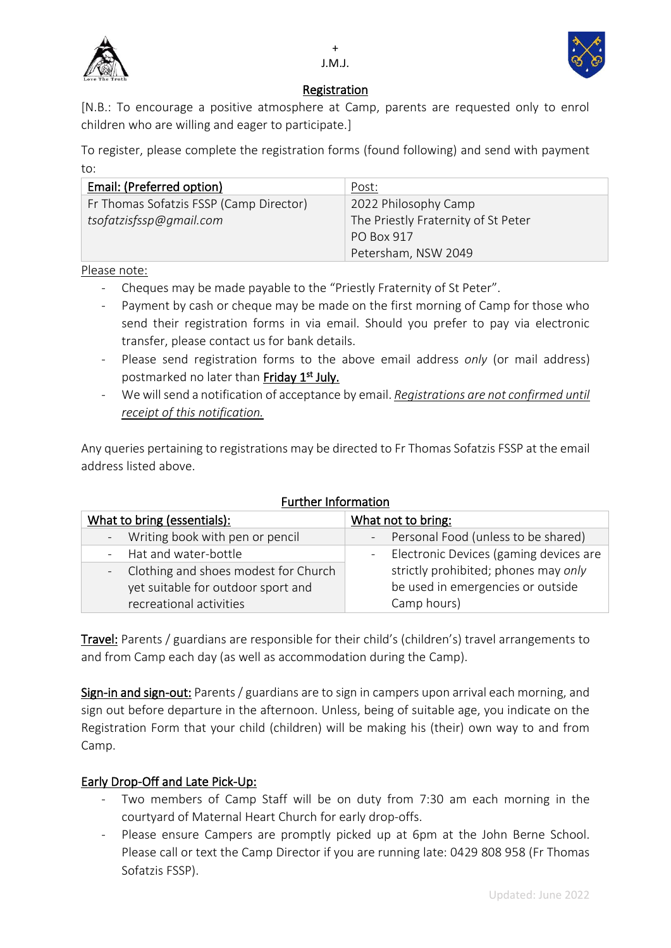



## Registration

[N.B.: To encourage a positive atmosphere at Camp, parents are requested only to enrol children who are willing and eager to participate.]

To register, please complete the registration forms (found following) and send with payment to:

| Email: (Preferred option)               | Post:                               |
|-----------------------------------------|-------------------------------------|
| Fr Thomas Sofatzis FSSP (Camp Director) | 2022 Philosophy Camp                |
| tsofatzisfssp@gmail.com                 | The Priestly Fraternity of St Peter |
|                                         | PO Box 917                          |
|                                         | Petersham, NSW 2049                 |

Please note:

- Cheques may be made payable to the "Priestly Fraternity of St Peter".
- Payment by cash or cheque may be made on the first morning of Camp for those who send their registration forms in via email. Should you prefer to pay via electronic transfer, please contact us for bank details.
- Please send registration forms to the above email address *only* (or mail address) postmarked no later than **Friday 1st July.**
- We will send a notification of acceptance by email. *Registrations are not confirmed until receipt of this notification.*

Any queries pertaining to registrations may be directed to Fr Thomas Sofatzis FSSP at the email address listed above.

| unuler information                     |                                          |  |  |
|----------------------------------------|------------------------------------------|--|--|
| What to bring (essentials):            | What not to bring:                       |  |  |
| - Writing book with pen or pencil      | - Personal Food (unless to be shared)    |  |  |
| - Hat and water-bottle                 | - Electronic Devices (gaming devices are |  |  |
| - Clothing and shoes modest for Church | strictly prohibited; phones may only     |  |  |
| yet suitable for outdoor sport and     | be used in emergencies or outside        |  |  |
| recreational activities                | Camp hours)                              |  |  |

## Further Information

Travel: Parents / guardians are responsible for their child's (children's) travel arrangements to and from Camp each day (as well as accommodation during the Camp).

Sign-in and sign-out: Parents / guardians are to sign in campers upon arrival each morning, and sign out before departure in the afternoon. Unless, being of suitable age, you indicate on the Registration Form that your child (children) will be making his (their) own way to and from Camp.

## Early Drop-Off and Late Pick-Up:

- Two members of Camp Staff will be on duty from 7:30 am each morning in the courtyard of Maternal Heart Church for early drop-offs.
- Please ensure Campers are promptly picked up at 6pm at the John Berne School. Please call or text the Camp Director if you are running late: 0429 808 958 (Fr Thomas Sofatzis FSSP).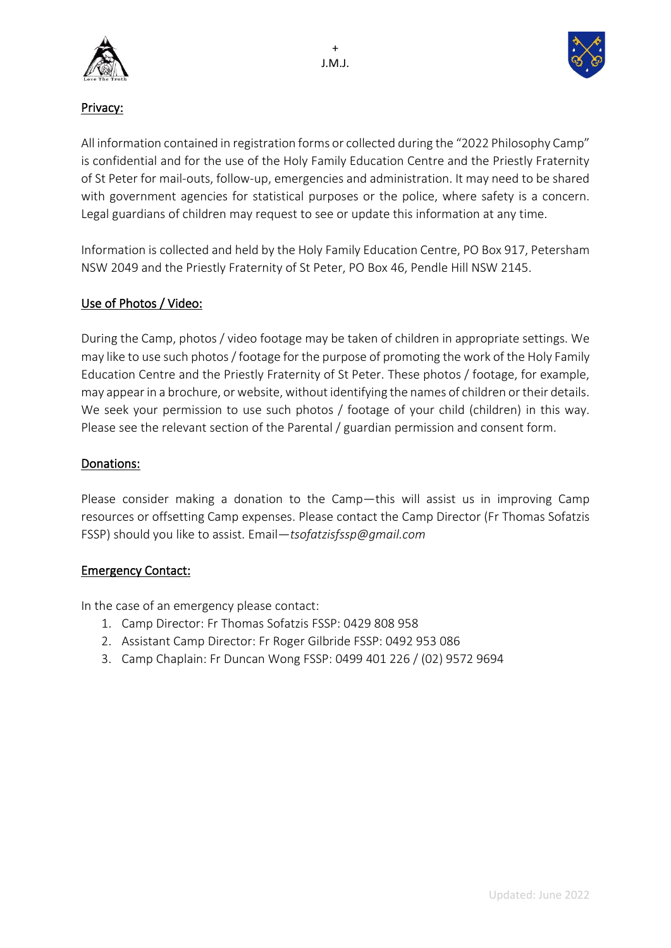



## Privacy:

All information contained in registration forms or collected during the "2022 Philosophy Camp" is confidential and for the use of the Holy Family Education Centre and the Priestly Fraternity of St Peter for mail-outs, follow-up, emergencies and administration. It may need to be shared with government agencies for statistical purposes or the police, where safety is a concern. Legal guardians of children may request to see or update this information at any time.

Information is collected and held by the Holy Family Education Centre, PO Box 917, Petersham NSW 2049 and the Priestly Fraternity of St Peter, PO Box 46, Pendle Hill NSW 2145.

## Use of Photos / Video:

During the Camp, photos / video footage may be taken of children in appropriate settings. We may like to use such photos / footage for the purpose of promoting the work of the Holy Family Education Centre and the Priestly Fraternity of St Peter. These photos / footage, for example, may appear in a brochure, or website, without identifying the names of children or their details. We seek your permission to use such photos / footage of your child (children) in this way. Please see the relevant section of the Parental / guardian permission and consent form.

## Donations:

Please consider making a donation to the Camp―this will assist us in improving Camp resources or offsetting Camp expenses. Please contact the Camp Director (Fr Thomas Sofatzis FSSP) should you like to assist. Email―*tsofatzisfssp@gmail.com*

## Emergency Contact:

In the case of an emergency please contact:

- 1. Camp Director: Fr Thomas Sofatzis FSSP: 0429 808 958
- 2. Assistant Camp Director: Fr Roger Gilbride FSSP: 0492 953 086
- 3. Camp Chaplain: Fr Duncan Wong FSSP: 0499 401 226 / (02) 9572 9694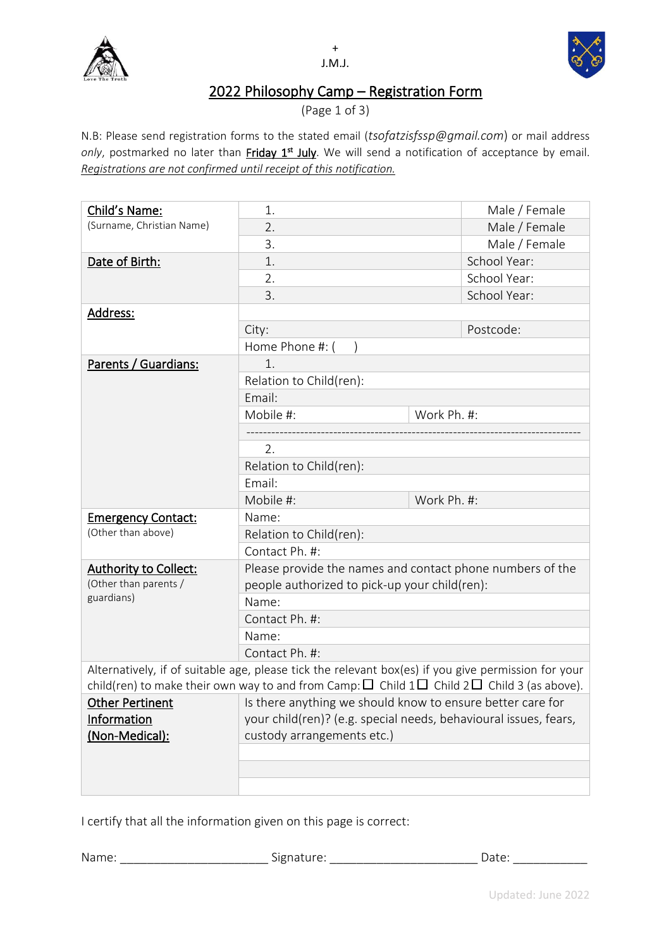



# 2022 Philosophy Camp – Registration Form

(Page 1 of 3)

N.B: Please send registration forms to the stated email (*tsofatzisfssp@gmail.com*) or mail address only, postmarked no later than *Friday 1<sup>st</sup> July*. We will send a notification of acceptance by email. *Registrations are not confirmed until receipt of this notification.*

| Child's Name:                                                                                                                                                                                                    | 1.                                                               |             | Male / Female |
|------------------------------------------------------------------------------------------------------------------------------------------------------------------------------------------------------------------|------------------------------------------------------------------|-------------|---------------|
| (Surname, Christian Name)                                                                                                                                                                                        | 2.                                                               |             | Male / Female |
|                                                                                                                                                                                                                  | 3.                                                               |             | Male / Female |
| Date of Birth:                                                                                                                                                                                                   | 1.                                                               |             | School Year:  |
|                                                                                                                                                                                                                  | 2.                                                               |             | School Year:  |
|                                                                                                                                                                                                                  | 3.                                                               |             | School Year:  |
| <u> Address:</u>                                                                                                                                                                                                 |                                                                  |             |               |
|                                                                                                                                                                                                                  | City:                                                            |             | Postcode:     |
|                                                                                                                                                                                                                  | Home Phone #: (                                                  |             |               |
| Parents / Guardians:                                                                                                                                                                                             | 1.                                                               |             |               |
|                                                                                                                                                                                                                  | Relation to Child(ren):                                          |             |               |
|                                                                                                                                                                                                                  | Email:                                                           |             |               |
|                                                                                                                                                                                                                  | Mobile #:                                                        | Work Ph. #: |               |
|                                                                                                                                                                                                                  |                                                                  |             |               |
|                                                                                                                                                                                                                  | 2.                                                               |             |               |
|                                                                                                                                                                                                                  | Relation to Child(ren):                                          |             |               |
|                                                                                                                                                                                                                  | Email:                                                           |             |               |
|                                                                                                                                                                                                                  | Mobile #:                                                        | Work Ph. #: |               |
| <b>Emergency Contact:</b>                                                                                                                                                                                        | Name:                                                            |             |               |
| (Other than above)                                                                                                                                                                                               | Relation to Child(ren):                                          |             |               |
|                                                                                                                                                                                                                  | Contact Ph. #:                                                   |             |               |
| <b>Authority to Collect:</b>                                                                                                                                                                                     | Please provide the names and contact phone numbers of the        |             |               |
| (Other than parents /                                                                                                                                                                                            | people authorized to pick-up your child(ren):                    |             |               |
| guardians)                                                                                                                                                                                                       | Name:                                                            |             |               |
|                                                                                                                                                                                                                  | Contact Ph. #:                                                   |             |               |
|                                                                                                                                                                                                                  | Name:                                                            |             |               |
|                                                                                                                                                                                                                  | Contact Ph. #:                                                   |             |               |
| Alternatively, if of suitable age, please tick the relevant box(es) if you give permission for your<br>child(ren) to make their own way to and from Camp: $\Box$ Child $1\Box$ Child $2\Box$ Child 3 (as above). |                                                                  |             |               |
| Other Pertinent                                                                                                                                                                                                  | Is there anything we should know to ensure better care for       |             |               |
| Information                                                                                                                                                                                                      | your child(ren)? (e.g. special needs, behavioural issues, fears, |             |               |
| (Non-Medical):                                                                                                                                                                                                   | custody arrangements etc.)                                       |             |               |
|                                                                                                                                                                                                                  |                                                                  |             |               |
|                                                                                                                                                                                                                  |                                                                  |             |               |
|                                                                                                                                                                                                                  |                                                                  |             |               |
|                                                                                                                                                                                                                  |                                                                  |             |               |

I certify that all the information given on this page is correct:

Name: \_\_\_\_\_\_\_\_\_\_\_\_\_\_\_\_\_\_\_\_\_\_\_\_\_\_\_\_\_\_\_Signature: \_\_\_\_\_\_\_\_\_\_\_\_\_\_\_\_\_\_\_\_\_\_\_\_\_\_\_\_\_\_\_\_\_\_Date: \_\_\_\_\_\_\_\_\_\_\_\_\_\_\_\_\_\_\_\_\_\_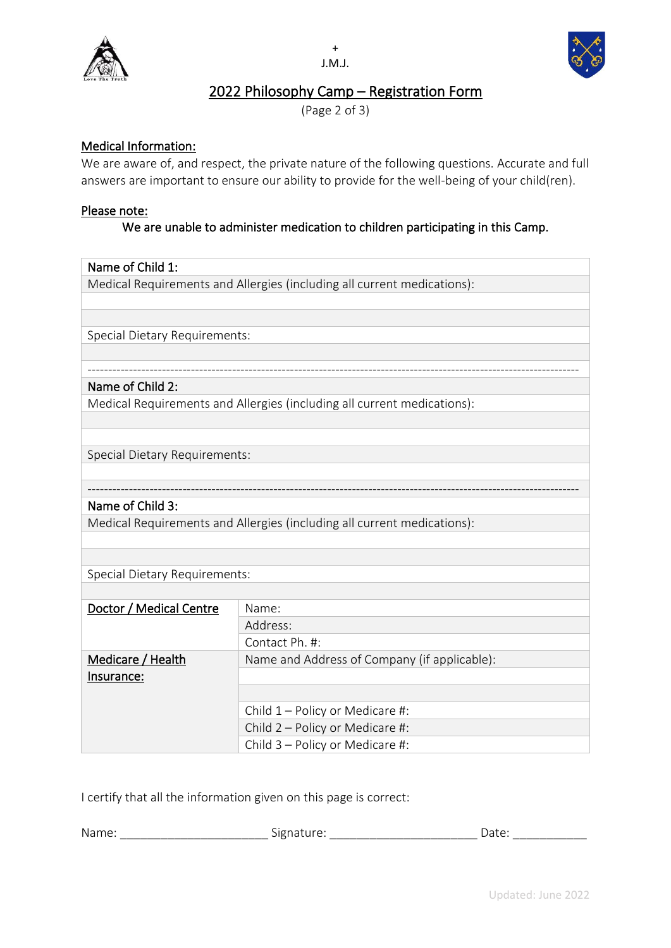



## 2022 Philosophy Camp – Registration Form

(Page 2 of 3)

## Medical Information:

We are aware of, and respect, the private nature of the following questions. Accurate and full answers are important to ensure our ability to provide for the well-being of your child(ren).

#### Please note:

## We are unable to administer medication to children participating in this Camp.

#### Name of Child 1:

Medical Requirements and Allergies (including all current medications):

Special Dietary Requirements:

#### ----------------------------------------------------------------------------------------------------------------------- Name of Child 2:

Medical Requirements and Allergies (including all current medications):

Special Dietary Requirements:

## Name of Child 3:

Medical Requirements and Allergies (including all current medications):

Special Dietary Requirements:

| Doctor / Medical Centre | Name:                                        |  |
|-------------------------|----------------------------------------------|--|
|                         | Address:                                     |  |
|                         | Contact Ph. #:                               |  |
| Medicare / Health       | Name and Address of Company (if applicable): |  |
| Insurance:              |                                              |  |
|                         |                                              |  |
|                         | Child $1$ – Policy or Medicare #:            |  |
|                         | Child 2 - Policy or Medicare #:              |  |
|                         | Child 3 - Policy or Medicare #:              |  |

-----------------------------------------------------------------------------------------------------------------------

I certify that all the information given on this page is correct:

| Nam<br>. | $\sim$<br>$\sim$ $  -$<br>- | $\overline{ }$<br>. |
|----------|-----------------------------|---------------------|
|          |                             |                     |